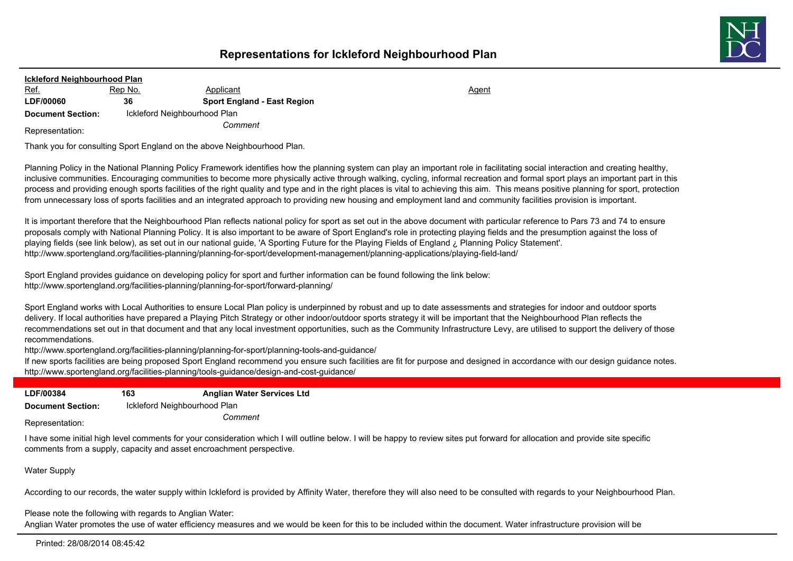

| <b>Ickleford Neighbourhood Plan</b> |                              |                                    |       |
|-------------------------------------|------------------------------|------------------------------------|-------|
| <u>Ref.</u>                         | Rep No.                      | Applicant                          | Agent |
| <b>LDF/00060</b>                    | 36                           | <b>Sport England - East Region</b> |       |
| <b>Document Section:</b>            | Ickleford Neighbourhood Plan |                                    |       |
| Representation:                     |                              | Comment                            |       |

Thank you for consulting Sport England on the above Neighbourhood Plan.

Planning Policy in the National Planning Policy Framework identifies how the planning system can play an important role in facilitating social interaction and creating healthy, inclusive communities. Encouraging communities to become more physically active through walking, cycling, informal recreation and formal sport plays an important part in this process and providing enough sports facilities of the right quality and type and in the right places is vital to achieving this aim. This means positive planning for sport, protection from unnecessary loss of sports facilities and an integrated approach to providing new housing and employment land and community facilities provision is important.

It is important therefore that the Neighbourhood Plan reflects national policy for sport as set out in the above document with particular reference to Pars 73 and 74 to ensure proposals comply with National Planning Policy. It is also important to be aware of Sport England's role in protecting playing fields and the presumption against the loss of playing fields (see link below), as set out in our national guide, 'A Sporting Future for the Playing Fields of England ¿ Planning Policy Statement'. http://www.sportengland.org/facilities-planning/planning-for-sport/development-management/planning-applications/playing-field-land/

Sport England provides guidance on developing policy for sport and further information can be found following the link below: http://www.sportengland.org/facilities-planning/planning-for-sport/forward-planning/

Sport England works with Local Authorities to ensure Local Plan policy is underpinned by robust and up to date assessments and strategies for indoor and outdoor sports delivery. If local authorities have prepared a Playing Pitch Strategy or other indoor/outdoor sports strategy it will be important that the Neighbourhood Plan reflects the recommendations set out in that document and that any local investment opportunities, such as the Community Infrastructure Levy, are utilised to support the delivery of those recommendations.

http://www.sportengland.org/facilities-planning/planning-for-sport/planning-tools-and-guidance/

If new sports facilities are being proposed Sport England recommend you ensure such facilities are fit for purpose and designed in accordance with our design guidance notes. http://www.sportengland.org/facilities-planning/tools-guidance/design-and-cost-guidance/

| <b>LDF/00384</b>         | 163                          | <b>Anglian Water Services Ltd</b> |
|--------------------------|------------------------------|-----------------------------------|
| <b>Document Section:</b> | Ickleford Neighbourhood Plan |                                   |
| Representation:          |                              | Comment                           |

I have some initial high level comments for your consideration which I will outline below. I will be happy to review sites put forward for allocation and provide site specific comments from a supply, capacity and asset encroachment perspective.

Water Supply

According to our records, the water supply within Ickleford is provided by Affinity Water, therefore they will also need to be consulted with regards to your Neighbourhood Plan.

Please note the following with regards to Anglian Water:

Anglian Water promotes the use of water efficiency measures and we would be keen for this to be included within the document. Water infrastructure provision will be

Printed: 28/08/2014 08:45:42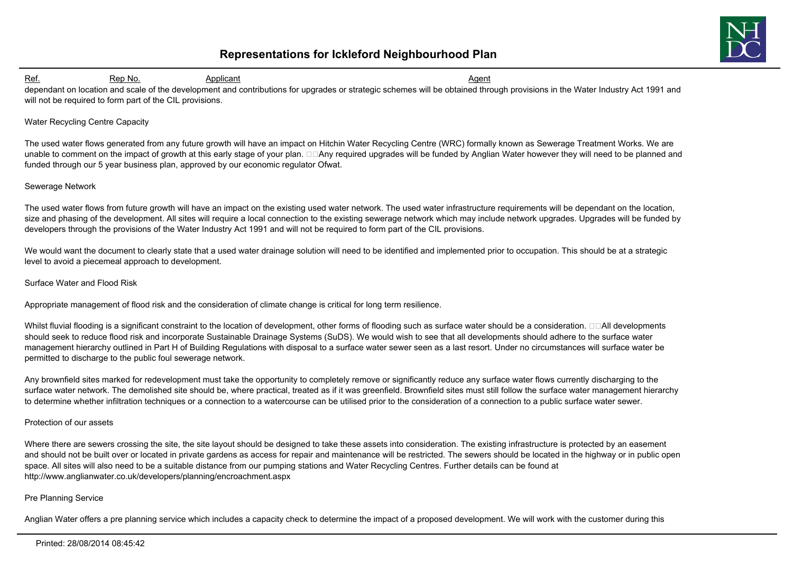

Ref. 6. Rep No. 6. Applicant Agent Agent Agent Agent Agent Agent Agent Agent Agent dependant on location and scale of the development and contributions for upgrades or strategic schemes will be obtained through provisions in the Water Industry Act 1991 and will not be required to form part of the CIL provisions.

#### Water Recycling Centre Capacity

The used water flows generated from any future growth will have an impact on Hitchin Water Recycling Centre (WRC) formally known as Sewerage Treatment Works. We are unable to comment on the impact of growth at this early stage of your plan.  $\Box\Box$ Any required upgrades will be funded by Anglian Water however they will need to be planned and funded through our 5 year business plan, approved by our economic regulator Ofwat.

### Sewerage Network

The used water flows from future growth will have an impact on the existing used water network. The used water infrastructure requirements will be dependant on the location, size and phasing of the development. All sites will require a local connection to the existing sewerage network which may include network upgrades. Upgrades will be funded by developers through the provisions of the Water Industry Act 1991 and will not be required to form part of the CIL provisions.

We would want the document to clearly state that a used water drainage solution will need to be identified and implemented prior to occupation. This should be at a strategic level to avoid a piecemeal approach to development.

#### Surface Water and Flood Risk

Appropriate management of flood risk and the consideration of climate change is critical for long term resilience.

Whilst fluvial flooding is a significant constraint to the location of development, other forms of flooding such as surface water should be a consideration.  $\Box\Box$ All developments should seek to reduce flood risk and incorporate Sustainable Drainage Systems (SuDS). We would wish to see that all developments should adhere to the surface water management hierarchy outlined in Part H of Building Regulations with disposal to a surface water sewer seen as a last resort. Under no circumstances will surface water be permitted to discharge to the public foul sewerage network.

Any brownfield sites marked for redevelopment must take the opportunity to completely remove or significantly reduce any surface water flows currently discharging to the surface water network. The demolished site should be, where practical, treated as if it was greenfield. Brownfield sites must still follow the surface water management hierarchy to determine whether infiltration techniques or a connection to a watercourse can be utilised prior to the consideration of a connection to a public surface water sewer.

#### Protection of our assets

Where there are sewers crossing the site, the site layout should be designed to take these assets into consideration. The existing infrastructure is protected by an easement and should not be built over or located in private gardens as access for repair and maintenance will be restricted. The sewers should be located in the highway or in public open space. All sites will also need to be a suitable distance from our pumping stations and Water Recycling Centres. Further details can be found at http://www.anglianwater.co.uk/developers/planning/encroachment.aspx

### Pre Planning Service

Anglian Water offers a pre planning service which includes a capacity check to determine the impact of a proposed development. We will work with the customer during this

#### Printed: 28/08/2014 08:45:42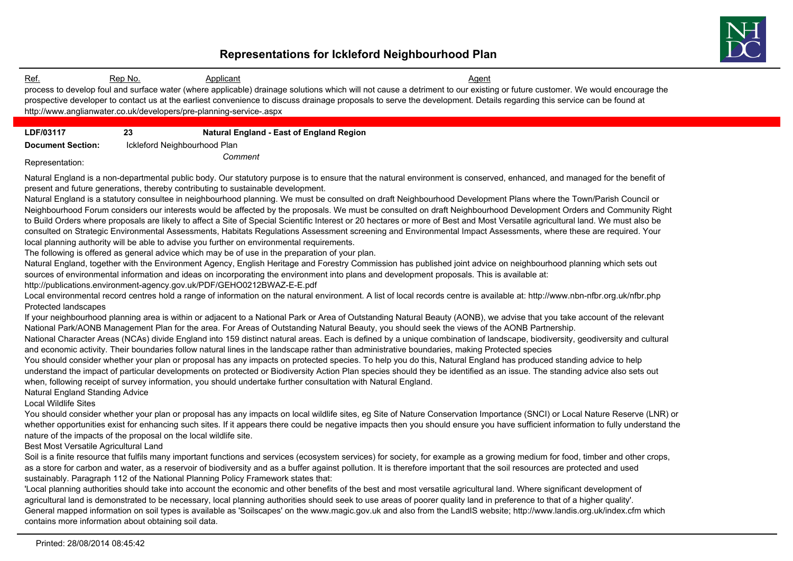

Ref. 6. Rep No. 6. Applicant Agent Agent Agent Agent Agent Agent Agent Agent Agent process to develop foul and surface water (where applicable) drainage solutions which will not cause a detriment to our existing or future customer. We would encourage the prospective developer to contact us at the earliest convenience to discuss drainage proposals to serve the development. Details regarding this service can be found at http://www.anglianwater.co.uk/developers/pre-planning-service-.aspx **LDF/03117 23 Natural England - East of England Region Document Section:** Ickleford Neighbourhood Plan *Comment* Representation: Natural England is a non-departmental public body. Our statutory purpose is to ensure that the natural environment is conserved, enhanced, and managed for the benefit of present and future generations, thereby contributing to sustainable development. Natural England is a statutory consultee in neighbourhood planning. We must be consulted on draft Neighbourhood Development Plans where the Town/Parish Council or Neighbourhood Forum considers our interests would be affected by the proposals. We must be consulted on draft Neighbourhood Development Orders and Community Right to Build Orders where proposals are likely to affect a Site of Special Scientific Interest or 20 hectares or more of Best and Most Versatile agricultural land. We must also be consulted on Strategic Environmental Assessments, Habitats Regulations Assessment screening and Environmental Impact Assessments, where these are required. Your local planning authority will be able to advise you further on environmental requirements. The following is offered as general advice which may be of use in the preparation of your plan. Natural England, together with the Environment Agency, English Heritage and Forestry Commission has published joint advice on neighbourhood planning which sets out sources of environmental information and ideas on incorporating the environment into plans and development proposals. This is available at: http://publications.environment-agency.gov.uk/PDF/GEHO0212BWAZ-E-E.pdf Local environmental record centres hold a range of information on the natural environment. A list of local records centre is available at: http://www.nbn-nfbr.org.uk/nfbr.php Protected landscapes If your neighbourhood planning area is within or adjacent to a National Park or Area of Outstanding Natural Beauty (AONB), we advise that you take account of the relevant National Park/AONB Management Plan for the area. For Areas of Outstanding Natural Beauty, you should seek the views of the AONB Partnership. National Character Areas (NCAs) divide England into 159 distinct natural areas. Each is defined by a unique combination of landscape, biodiversity, geodiversity and cultural and economic activity. Their boundaries follow natural lines in the landscape rather than administrative boundaries, making Protected species You should consider whether your plan or proposal has any impacts on protected species. To help you do this, Natural England has produced standing advice to help understand the impact of particular developments on protected or Biodiversity Action Plan species should they be identified as an issue. The standing advice also sets out when, following receipt of survey information, you should undertake further consultation with Natural England. Natural England Standing Advice Local Wildlife Sites You should consider whether your plan or proposal has any impacts on local wildlife sites, eg Site of Nature Conservation Importance (SNCI) or Local Nature Reserve (LNR) or whether opportunities exist for enhancing such sites. If it appears there could be negative impacts then you should ensure you have sufficient information to fully understand the nature of the impacts of the proposal on the local wildlife site. Best Most Versatile Agricultural Land Soil is a finite resource that fulfils many important functions and services (ecosystem services) for society, for example as a growing medium for food, timber and other crops, as a store for carbon and water, as a reservoir of biodiversity and as a buffer against pollution. It is therefore important that the soil resources are protected and used sustainably. Paragraph 112 of the National Planning Policy Framework states that: 'Local planning authorities should take into account the economic and other benefits of the best and most versatile agricultural land. Where significant development of agricultural land is demonstrated to be necessary, local planning authorities should seek to use areas of poorer quality land in preference to that of a higher quality'. General mapped information on soil types is available as 'Soilscapes' on the www.magic.gov.uk and also from the LandIS website; http://www.landis.org.uk/index.cfm which contains more information about obtaining soil data.